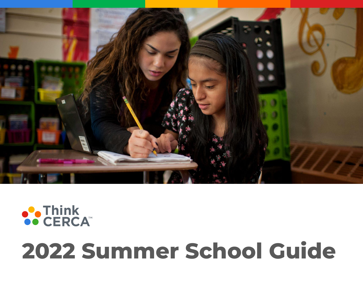

# ●● Think<br>●● CERCA™

# **2022 Summer School Guide**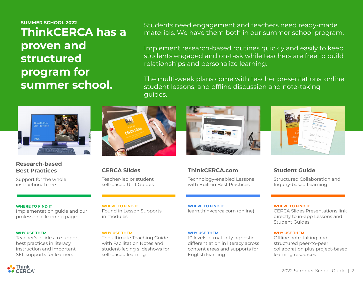**SUMMER SCHOOL 2022 ThinkCERCA has a proven and structured program for summer school.** 

Students need engagement and teachers need ready-made materials. We have them both in our summer school program.

Implement research-based routines quickly and easily to keep students engaged and on-task while teachers are free to build relationships and personalize learning.

The multi-week plans come with teacher presentations, online student lessons, and offline discussion and note-taking guides.



### **Research-based Best Practices**

Support for the whole instructional core



**CERCA Slides** Teacher-led or student self-paced Unit Guides



### **ThinkCERCA.com**

Technology-enabled Lessons with Built-in Best Practices



## **Student Guide**

Structured Collaboration and Inquiry-based Learning

### **WHERE TO FIND IT**

Implementation guide and our professional learning page.

### **WHY USE THEM**

Teacher's guides to support best practices in literacy instruction and important SEL supports for learners

### **WHERE TO FIND IT**

Found in Lesson Supports in modules

### **WHY USE THEM**

The ultimate Teaching Guide with Facilitation Notes and student-facing slideshows for self-paced learning

**WHERE TO FIND IT** learn.thinkcerca.com (online)

### **WHY USE THEM**

10 levels of maturity-agnostic differentiation in literacy across content areas and supports for English learning

### **WHERE TO FIND IT**

CERCA Slides Presentations link directly to in-app Lessons and Student Guides

### **WHY USE THEM**

Offline note-taking and structured peer-to-peer collaboration plus project-based learning resources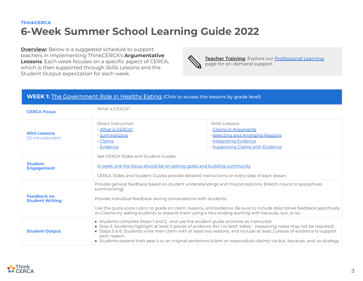**Overview:** Below is a suggested schedule to support teachers in implementing ThinkCERCA's **Argumentative Lessons**. Each week focuses on a specific aspect of CERCA, which is then supported through Skills Lessons and the Student Output expectation for each week.

**Teacher Training**: Explore our **Professional Learning** page for on-demand support.

### **WEEK 1:** [The Government Role in Healthy Eating](https://www.thinkcerca.com/cerca-slides-gov-role-in-healthy-eating?hsLang=en) (Click to access the lessons by grade level)

| <b>CERCA Focus</b>                           | What is CERCA?                                                                                                                                                                                                                                                                                                                                                                                                                                                                                |                                                                                                                                          |  |
|----------------------------------------------|-----------------------------------------------------------------------------------------------------------------------------------------------------------------------------------------------------------------------------------------------------------------------------------------------------------------------------------------------------------------------------------------------------------------------------------------------------------------------------------------------|------------------------------------------------------------------------------------------------------------------------------------------|--|
| <b>Mini-Lessons</b><br>30 minutes each       | Direct Instruction:<br>- What is CERCA?<br>- Summarizing<br>- Claims<br>- Evidence                                                                                                                                                                                                                                                                                                                                                                                                            | Skills Lessons:<br>-Claims in Arguments<br>-Selecting and Arranging Reasons<br>-Integrating Evidence<br>-Supporting Claims with Evidence |  |
| <b>Student</b><br><b>Engagement</b>          | See CERCA Slides and Student Guides<br>In week one the focus should be on setting goals and building community<br>CERCA Slides and Student Guides provide detailed instructions on every step of each lesson.                                                                                                                                                                                                                                                                                 |                                                                                                                                          |  |
| <b>Feedback on</b><br><b>Student Writing</b> | Provide general feedback based on student understandings and misconceptions. [Match nouns to appositives;<br>summarizing]<br>Provide individual feedback during conversations with students.<br>Use the quick score rubric to grade on claim, reasons, and evidence. Be sure to include descriptive feedback specifically<br>on Claims-try asking students to expand them using a new ending starting with because, but, or so.                                                               |                                                                                                                                          |  |
| <b>Student Output</b>                        | • Students complete Steps 1 and 2, and use the student guide activities as instructed.<br>• Step 3: Students highlight at least 5 pieces of evidence (for 1 or both sides) - (reasoning notes may not be required).<br>• Steps 5 & 6: Students write their claim with at least two reasons, and include at least 2 pieces of evidence to support<br>each reason.<br>• Students expand their peer's or an original sentences (claim or reasons/sub-claims) via but, because, and, so strategy. |                                                                                                                                          |  |

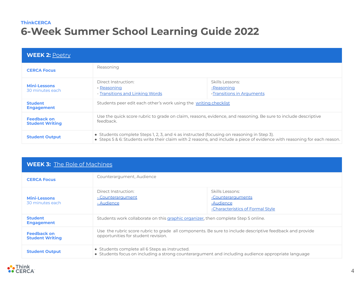| <b>WEEK 2: Poetry</b>                        |                                                                                                                                                                                                                        |                                                            |  |  |
|----------------------------------------------|------------------------------------------------------------------------------------------------------------------------------------------------------------------------------------------------------------------------|------------------------------------------------------------|--|--|
| <b>CERCA Focus</b>                           | Reasoning                                                                                                                                                                                                              |                                                            |  |  |
| <b>Mini-Lessons</b><br>30 minutes each       | Direct Instruction:<br>- Reasoning<br>- Transitions and Linking Words                                                                                                                                                  | Skills Lessons:<br>-Reasoning<br>-Transitions in Arguments |  |  |
| <b>Student</b><br><b>Engagement</b>          | Students peer edit each other's work using the writing checklist                                                                                                                                                       |                                                            |  |  |
| <b>Feedback on</b><br><b>Student Writing</b> | Use the quick score rubric to grade on claim, reasons, evidence, and reasoning. Be sure to include descriptive<br>feedback.                                                                                            |                                                            |  |  |
| <b>Student Output</b>                        | • Students complete Steps 1, 2, 3, and 4 as instructed (focusing on reasoning in Step 3).<br>• Steps 5 & 6: Students write their claim with 2 reasons, and include a piece of evidence with reasoning for each reason. |                                                            |  |  |

| <b>WEEK 3:</b> The Role of Machines          |                                                                                                                                                      |                                                                                       |  |  |
|----------------------------------------------|------------------------------------------------------------------------------------------------------------------------------------------------------|---------------------------------------------------------------------------------------|--|--|
| <b>CERCA Focus</b>                           | Counterargument, Audience                                                                                                                            |                                                                                       |  |  |
| <b>Mini-Lessons</b><br>30 minutes each       | Direct Instruction:<br>- Counterargument<br>- Audience                                                                                               | Skills Lessons:<br>-Counterarguments<br>-Audience<br>-Characteristics of Formal Style |  |  |
| <b>Student</b><br><b>Engagement</b>          | Students work collaborate on this graphic organizer, then complete Step 5 online.                                                                    |                                                                                       |  |  |
| <b>Feedback on</b><br><b>Student Writing</b> | Use the rubric score rubric to grade all components. Be sure to include descriptive feedback and provide<br>opportunities for student revision.      |                                                                                       |  |  |
| <b>Student Output</b>                        | • Students complete all 6 Steps as instructed.<br>• Students focus on including a strong counterargument and including audience appropriate language |                                                                                       |  |  |

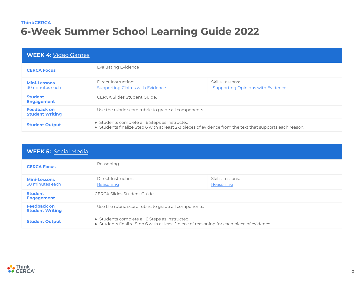| <b>WEEK 4: Video Games</b>                   |                                                                                                                                                            |                                                       |  |
|----------------------------------------------|------------------------------------------------------------------------------------------------------------------------------------------------------------|-------------------------------------------------------|--|
| <b>CERCA Focus</b>                           | <b>Evaluating Evidence</b>                                                                                                                                 |                                                       |  |
| <b>Mini-Lessons</b><br>30 minutes each       | Direct Instruction:<br><b>Supporting Claims with Evidence</b>                                                                                              | Skills Lessons:<br>-Supporting Opinions with Evidence |  |
| <b>Student</b><br><b>Engagement</b>          | CERCA Slides Student Guide.                                                                                                                                |                                                       |  |
| <b>Feedback on</b><br><b>Student Writing</b> | Use the rubric score rubric to grade all components.                                                                                                       |                                                       |  |
| <b>Student Output</b>                        | • Students complete all 6 Steps as instructed.<br>• Students finalize Step 6 with at least 2-3 pieces of evidence from the text that supports each reason. |                                                       |  |

| <b>WEEK 5:</b> Social Media                  |                                                                                                                                             |                              |  |
|----------------------------------------------|---------------------------------------------------------------------------------------------------------------------------------------------|------------------------------|--|
| <b>CERCA Focus</b>                           | Reasoning                                                                                                                                   |                              |  |
| <b>Mini-Lessons</b><br>30 minutes each       | Direct Instruction:<br>Reasoning                                                                                                            | Skills Lessons:<br>Reasoning |  |
| <b>Student</b><br><b>Engagement</b>          | CERCA Slides Student Guide.                                                                                                                 |                              |  |
| <b>Feedback on</b><br><b>Student Writing</b> | Use the rubric score rubric to grade all components.                                                                                        |                              |  |
| <b>Student Output</b>                        | • Students complete all 6 Steps as instructed.<br>• Students finalize Step 6 with at least 1 piece of reasoning for each piece of evidence. |                              |  |

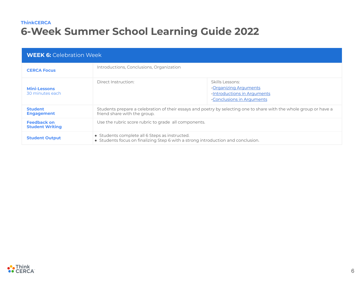| <b>WEEK 6:</b> Celebration Week              |                                                                                                                                                    |                                                                                                      |  |  |
|----------------------------------------------|----------------------------------------------------------------------------------------------------------------------------------------------------|------------------------------------------------------------------------------------------------------|--|--|
| <b>CERCA Focus</b>                           | Introductions, Conclusions, Organization                                                                                                           |                                                                                                      |  |  |
| <b>Mini-Lessons</b><br>30 minutes each       | Direct Instruction:                                                                                                                                | Skills Lessons:<br>-Organizing Arguments<br>-Introductions in Arguments<br>-Conclusions in Arguments |  |  |
| <b>Student</b><br><b>Engagement</b>          | Students prepare a celebration of their essays and poetry by selecting one to share with the whole group or have a<br>friend share with the group. |                                                                                                      |  |  |
| <b>Feedback on</b><br><b>Student Writing</b> | Use the rubric score rubric to grade all components.                                                                                               |                                                                                                      |  |  |
| <b>Student Output</b>                        | • Students complete all 6 Steps as instructed.<br>• Students focus on finalizing Step 6 with a strong introduction and conclusion.                 |                                                                                                      |  |  |

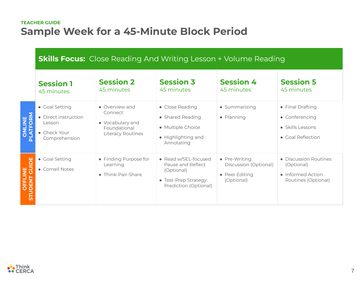## **TEACHER GUIDE Sample Week for a 45-Minute Block Period**

# **Skills Focus:** Close Reading And Writing Lesson + Volume Reading

|                          | <b>Session 1</b><br>45 minutes                                                    | <b>Session 2</b><br>45 minutes                                                     | <b>Session 3</b><br>45 minutes                                                                            | <b>Session 4</b><br>45 minutes                                         | <b>Session 5</b><br>45 minutes                                                  |
|--------------------------|-----------------------------------------------------------------------------------|------------------------------------------------------------------------------------|-----------------------------------------------------------------------------------------------------------|------------------------------------------------------------------------|---------------------------------------------------------------------------------|
| <b>ONLINE</b><br>LATFORM | • Goal Setting<br>• Direct instruction<br>Lesson<br>• Check Your<br>Comprehension | • Overview and<br>Connect<br>• Vocabulary and<br>Foundational<br>Literacy Routines | • Close Reading<br>• Shared Reading<br>• Multiple Choice<br>• Highlighting and<br>Annotating              | • Summarizing<br>• Planning                                            | • Final Drafting<br>• Conferencing<br>• Skills Lessons<br>• Goal Reflection     |
| OFFLINE<br>DENT          | • Goal Setting<br>• Cornell Notes                                                 | • Finding Purpose for<br>Learning<br>• Think-Pair-Share                            | • Read w/SEL-focused<br>Pause and Reflect<br>(Optional)<br>• Test-Prep Strategy:<br>Prediction (Optional) | • Pre-Writing<br>Discussion (Optional)<br>• Peer Editing<br>(Optional) | • Discussion Routines<br>(Optional)<br>• Informed Action<br>Routines (Optional) |

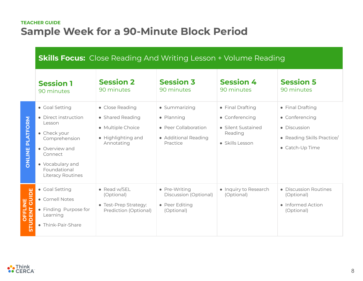# **TEACHER GUIDE Sample Week for a 90-Minute Block Period**

# **Skills Focus:** Close Reading And Writing Lesson + Volume Reading

|                                      | <b>Session 1</b><br>90 minutes                                                                                                                                          | <b>Session 2</b><br>90 minutes                                                               | <b>Session 3</b><br>90 minutes                                                          | <b>Session 4</b><br>90 minutes                                                         | <b>Session 5</b><br>90 minutes                                                                      |
|--------------------------------------|-------------------------------------------------------------------------------------------------------------------------------------------------------------------------|----------------------------------------------------------------------------------------------|-----------------------------------------------------------------------------------------|----------------------------------------------------------------------------------------|-----------------------------------------------------------------------------------------------------|
| <b>ATFORM</b><br>군<br><b>JAITINC</b> | • Goal Setting<br>• Direct instruction<br>Lesson<br>• Check your<br>Comprehension<br>• Overview and<br>Connect<br>• Vocabulary and<br>Foundational<br>Literacy Routines | • Close Reading<br>• Shared Reading<br>• Multiple Choice<br>• Highlighting and<br>Annotating | • Summarizing<br>• Planning<br>• Peer Collaboration<br>• Additional Reading<br>Practice | • Final Drafting<br>• Conferencing<br>• Silent Sustained<br>Reading<br>• Skills Lesson | • Final Drafting<br>• Conferencing<br>• Discussion<br>• Reading Skills Practice/<br>• Catch-Up Time |
| GUIDE<br>OFFLINE<br><b>STUDENT</b>   | • Goal Setting<br>• Cornell Notes<br>• Finding Purpose for<br>Learning<br>• Think-Pair-Share                                                                            | • Read w/SEL<br>(Optional)<br>• Test-Prep Strategy:<br>Prediction (Optional)                 | • Pre-Writing<br>Discussion (Optional)<br>• Peer Editing<br>(Optional)                  | • Inquiry to Research<br>(Optional)                                                    | • Discussion Routines<br>(Optional)<br>• Informed Action<br>(Optional)                              |